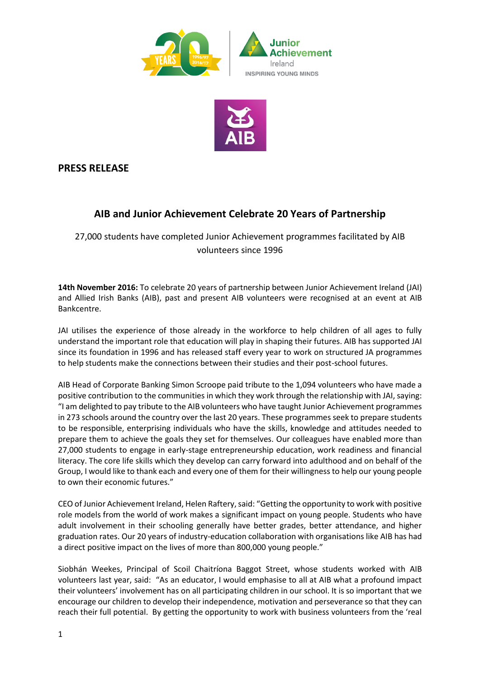



## **PRESS RELEASE**

# **AIB and Junior Achievement Celebrate 20 Years of Partnership**

27,000 students have completed Junior Achievement programmes facilitated by AIB volunteers since 1996

**14th November 2016:** To celebrate 20 years of partnership between Junior Achievement Ireland (JAI) and Allied Irish Banks (AIB), past and present AIB volunteers were recognised at an event at AIB Bankcentre.

JAI utilises the experience of those already in the workforce to help children of all ages to fully understand the important role that education will play in shaping their futures. AIB has supported JAI since its foundation in 1996 and has released staff every year to work on structured JA programmes to help students make the connections between their studies and their post-school futures.

AIB Head of Corporate Banking Simon Scroope paid tribute to the 1,094 volunteers who have made a positive contribution to the communities in which they work through the relationship with JAI, saying: "I am delighted to pay tribute to the AIB volunteers who have taught Junior Achievement programmes in 273 schools around the country over the last 20 years. These programmes seek to prepare students to be responsible, enterprising individuals who have the skills, knowledge and attitudes needed to prepare them to achieve the goals they set for themselves. Our colleagues have enabled more than 27,000 students to engage in early-stage entrepreneurship education, work readiness and financial literacy. The core life skills which they develop can carry forward into adulthood and on behalf of the Group, I would like to thank each and every one of them for their willingness to help our young people to own their economic futures."

CEO of Junior Achievement Ireland, Helen Raftery, said: "Getting the opportunity to work with positive role models from the world of work makes a significant impact on young people. Students who have adult involvement in their schooling generally have better grades, better attendance, and higher graduation rates. Our 20 years of industry-education collaboration with organisations like AIB has had a direct positive impact on the lives of more than 800,000 young people."

Siobhán Weekes, Principal of Scoil Chaitríona Baggot Street, whose students worked with AIB volunteers last year, said: "As an educator, I would emphasise to all at AIB what a profound impact their volunteers' involvement has on all participating children in our school. It is so important that we encourage our children to develop their independence, motivation and perseverance so that they can reach their full potential. By getting the opportunity to work with business volunteers from the 'real